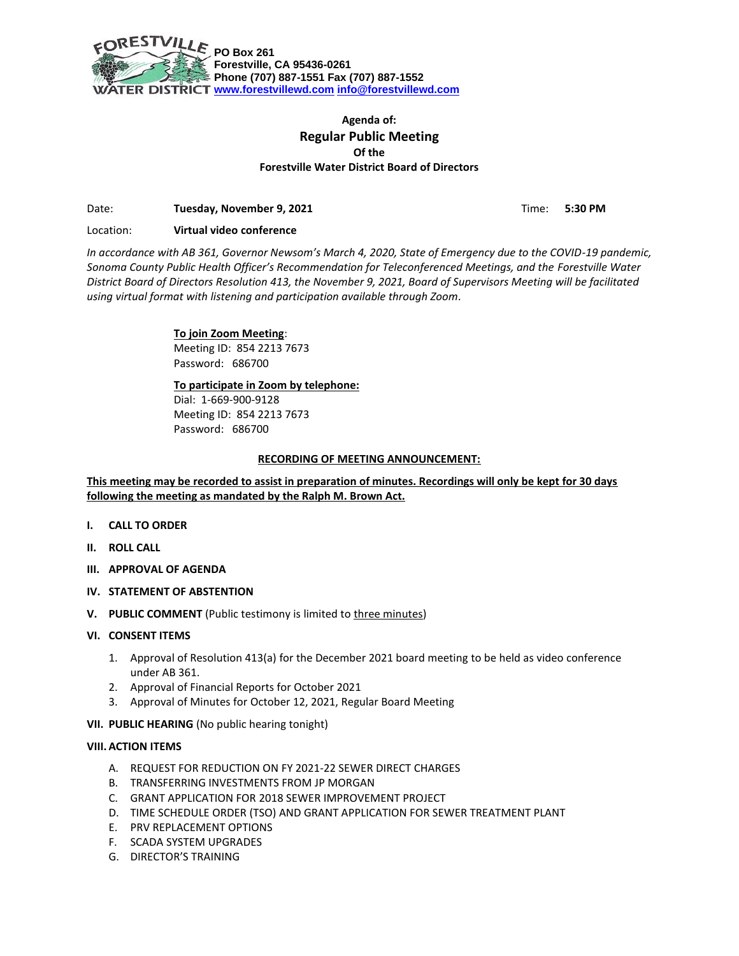

# **Agenda of: Regular Public Meeting Of the Forestville Water District Board of Directors**

Date: **Tuesday, November 9, 2021** Time: **5:30 PM** 

Location: **Virtual video conference**

*In accordance with AB 361, Governor Newsom's March 4, 2020, State of Emergency due to the COVID-19 pandemic, Sonoma County Public Health Officer's Recommendation for Teleconferenced Meetings, and the Forestville Water District Board of Directors Resolution 413, the November 9, 2021, Board of Supervisors Meeting will be facilitated using virtual format with listening and participation available through Zoom.*

# **To join Zoom Meeting**:

Meeting ID: 854 2213 7673 Password: 686700

## **To participate in Zoom by telephone:**

Dial: 1-669-900-9128 Meeting ID: 854 2213 7673 Password: 686700

### **RECORDING OF MEETING ANNOUNCEMENT:**

**This meeting may be recorded to assist in preparation of minutes. Recordings will only be kept for 30 days following the meeting as mandated by the Ralph M. Brown Act.**

- **I. CALL TO ORDER**
- **II. ROLL CALL**
- **III. APPROVAL OF AGENDA**
- **IV. STATEMENT OF ABSTENTION**
- **V. PUBLIC COMMENT** (Public testimony is limited to three minutes)

### **VI. CONSENT ITEMS**

- 1. Approval of Resolution 413(a) for the December 2021 board meeting to be held as video conference under AB 361.
- 2. Approval of Financial Reports for October 2021
- 3. Approval of Minutes for October 12, 2021, Regular Board Meeting
- **VII. PUBLIC HEARING** (No public hearing tonight)

### **VIII. ACTION ITEMS**

- A. REQUEST FOR REDUCTION ON FY 2021-22 SEWER DIRECT CHARGES
- B. TRANSFERRING INVESTMENTS FROM JP MORGAN
- C. GRANT APPLICATION FOR 2018 SEWER IMPROVEMENT PROJECT
- D. TIME SCHEDULE ORDER (TSO) AND GRANT APPLICATION FOR SEWER TREATMENT PLANT
- E. PRV REPLACEMENT OPTIONS
- F. SCADA SYSTEM UPGRADES
- G. DIRECTOR'S TRAINING